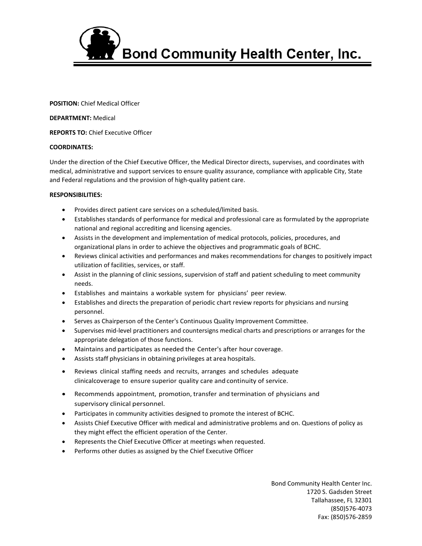

**POSITION:** Chief Medical Officer

**DEPARTMENT:** Medical

**REPORTS TO:** Chief Executive Officer

## **COORDINATES:**

Under the direction of the Chief Executive Officer, the Medical Director directs, supervises, and coordinates with medical, administrative and support services to ensure quality assurance, compliance with applicable City, State and Federal regulations and the provision of high-quality patient care.

## **RESPONSIBILITIES:**

- Provides direct patient care services on a scheduled/limited basis.
- Establishes standards of performance for medical and professional care as formulated by the appropriate national and regional accrediting and licensing agencies.
- Assists in the development and implementation of medical protocols, policies, procedures, and organizational plans in order to achieve the objectives and programmatic goals of BCHC.
- Reviews clinical activities and performances and makes recommendations for changes to positively impact utilization of facilities, services, or staff.
- Assist in the planning of clinic sessions, supervision of staff and patient scheduling to meet community needs.
- Establishes and maintains a workable system for physicians' peer review.
- Establishes and directs the preparation of periodic chart review reports for physicians and nursing personnel.
- Serves as Chairperson of the Center's Continuous Quality Improvement Committee.
- Supervises mid-level practitioners and countersigns medical charts and prescriptions or arranges for the appropriate delegation of those functions.
- Maintains and participates as needed the Center's after hour coverage.
- Assists staff physicians in obtaining privileges at area hospitals.
- Reviews clinical staffing needs and recruits, arranges and schedules adequate clinicalcoverage to ensure superior quality care and continuity of service.
- Recommends appointment, promotion, transfer and termination of physicians and supervisory clinical personnel.
- Participates in community activities designed to promote the interest of BCHC.
- Assists Chief Executive Officer with medical and administrative problems and on. Questions of policy as they might effect the efficient operation of the Center.
- Represents the Chief Executive Officer at meetings when requested.
- Performs other duties as assigned by the Chief Executive Officer

Bond Community Health Center Inc. 1720 S. Gadsden Street Tallahassee, FL 32301 (850)576-4073 Fax: (850)576-2859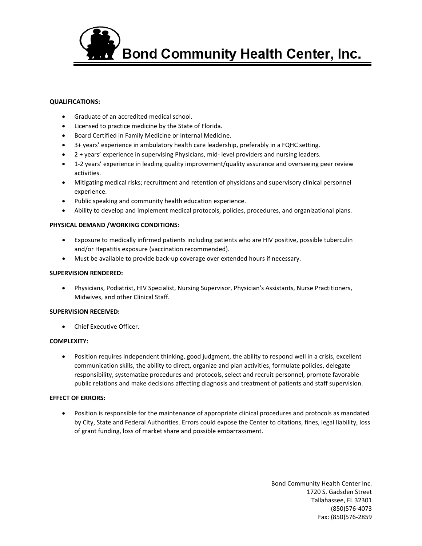

## **QUALIFICATIONS:**

- Graduate of an accredited medical school.
- Licensed to practice medicine by the State of Florida.
- Board Certified in Family Medicine or Internal Medicine.
- 3+ years' experience in ambulatory health care leadership, preferably in a FQHC setting.
- 2 + years' experience in supervising Physicians, mid- level providers and nursing leaders.
- 1-2 years' experience in leading quality improvement/quality assurance and overseeing peer review activities.
- Mitigating medical risks; recruitment and retention of physicians and supervisory clinical personnel experience.
- Public speaking and community health education experience.
- Ability to develop and implement medical protocols, policies, procedures, and organizational plans.

# **PHYSICAL DEMAND /WORKING CONDITIONS:**

- Exposure to medically infirmed patients including patients who are HIV positive, possible tuberculin and/or Hepatitis exposure (vaccination recommended).
- Must be available to provide back-up coverage over extended hours if necessary.

#### **SUPERVISION RENDERED:**

• Physicians, Podiatrist, HIV Specialist, Nursing Supervisor, Physician's Assistants, Nurse Practitioners, Midwives, and other Clinical Staff.

## **SUPERVISION RECEIVED:**

• Chief Executive Officer.

#### **COMPLEXITY:**

• Position requires independent thinking, good judgment, the ability to respond well in a crisis, excellent communication skills, the ability to direct, organize and plan activities, formulate policies, delegate responsibility, systematize procedures and protocols, select and recruit personnel, promote favorable public relations and make decisions affecting diagnosis and treatment of patients and staff supervision.

# **EFFECT OF ERRORS:**

• Position is responsible for the maintenance of appropriate clinical procedures and protocols as mandated by City, State and Federal Authorities. Errors could expose the Center to citations, fines, legal liability, loss of grant funding, loss of market share and possible embarrassment.

> Bond Community Health Center Inc. 1720 S. Gadsden Street Tallahassee, FL 32301 (850)576-4073 Fax: (850)576-2859